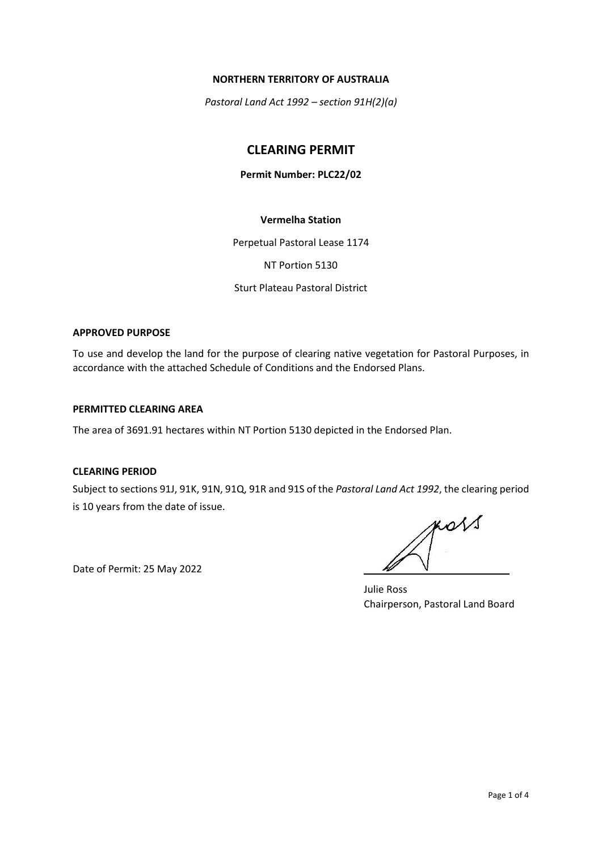#### **NORTHERN TERRITORY OF AUSTRALIA**

*Pastoral Land Act 1992 – section 91H(2)(a)*

# **CLEARING PERMIT**

## **Permit Number: PLC22/02**

# **Vermelha Station**

Perpetual Pastoral Lease 1174

NT Portion 5130

Sturt Plateau Pastoral District

#### **APPROVED PURPOSE**

To use and develop the land for the purpose of clearing native vegetation for Pastoral Purposes, in accordance with the attached Schedule of Conditions and the Endorsed Plans.

#### **PERMITTED CLEARING AREA**

The area of 3691.91 hectares within NT Portion 5130 depicted in the Endorsed Plan.

## **CLEARING PERIOD**

Subject to sections 91J, 91K, 91N, 91Q, 91R and 91S of the *Pastoral Land Act 1992*, the clearing period is 10 years from the date of issue.

Date of Permit: 25 May 2022

KOVS

Julie Ross Chairperson, Pastoral Land Board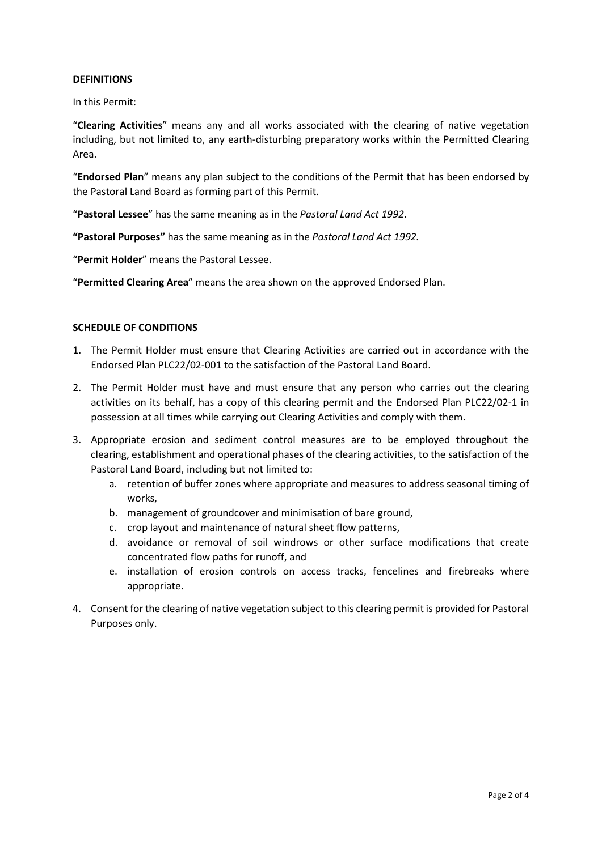#### **DEFINITIONS**

In this Permit:

"**Clearing Activities**" means any and all works associated with the clearing of native vegetation including, but not limited to, any earth-disturbing preparatory works within the Permitted Clearing Area.

"**Endorsed Plan**" means any plan subject to the conditions of the Permit that has been endorsed by the Pastoral Land Board as forming part of this Permit.

"**Pastoral Lessee**" has the same meaning as in the *Pastoral Land Act 1992*.

**"Pastoral Purposes"** has the same meaning as in the *Pastoral Land Act 1992.*

"**Permit Holder**" means the Pastoral Lessee.

"**Permitted Clearing Area**" means the area shown on the approved Endorsed Plan.

## **SCHEDULE OF CONDITIONS**

- 1. The Permit Holder must ensure that Clearing Activities are carried out in accordance with the Endorsed Plan PLC22/02-001 to the satisfaction of the Pastoral Land Board.
- 2. The Permit Holder must have and must ensure that any person who carries out the clearing activities on its behalf, has a copy of this clearing permit and the Endorsed Plan PLC22/02-1 in possession at all times while carrying out Clearing Activities and comply with them.
- 3. Appropriate erosion and sediment control measures are to be employed throughout the clearing, establishment and operational phases of the clearing activities, to the satisfaction of the Pastoral Land Board, including but not limited to:
	- a. retention of buffer zones where appropriate and measures to address seasonal timing of works,
	- b. management of groundcover and minimisation of bare ground,
	- c. crop layout and maintenance of natural sheet flow patterns,
	- d. avoidance or removal of soil windrows or other surface modifications that create concentrated flow paths for runoff, and
	- e. installation of erosion controls on access tracks, fencelines and firebreaks where appropriate.
- 4. Consent for the clearing of native vegetation subject to this clearing permit is provided for Pastoral Purposes only.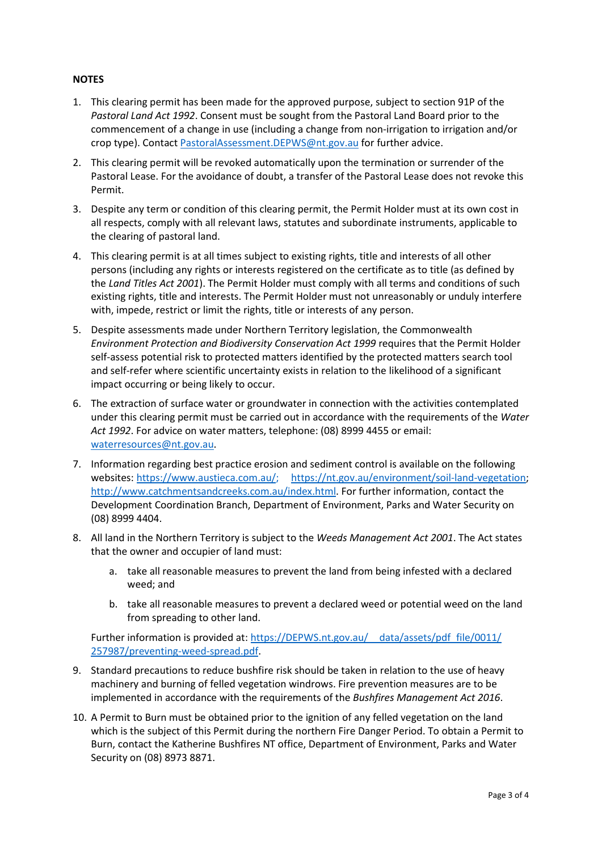# **NOTES**

- 1. This clearing permit has been made for the approved purpose, subject to section 91P of the *Pastoral Land Act 1992*. Consent must be sought from the Pastoral Land Board prior to the commencement of a change in use (including a change from non-irrigation to irrigation and/or crop type). Contact [PastoralAssessment.DEPWS@nt.gov.au](mailto:PastoralAssessment.DEPWS@nt.gov.au) for further advice.
- 2. This clearing permit will be revoked automatically upon the termination or surrender of the Pastoral Lease. For the avoidance of doubt, a transfer of the Pastoral Lease does not revoke this Permit.
- 3. Despite any term or condition of this clearing permit, the Permit Holder must at its own cost in all respects, comply with all relevant laws, statutes and subordinate instruments, applicable to the clearing of pastoral land.
- 4. This clearing permit is at all times subject to existing rights, title and interests of all other persons (including any rights or interests registered on the certificate as to title (as defined by the *Land Titles Act 2001*). The Permit Holder must comply with all terms and conditions of such existing rights, title and interests. The Permit Holder must not unreasonably or unduly interfere with, impede, restrict or limit the rights, title or interests of any person.
- 5. Despite assessments made under Northern Territory legislation, the Commonwealth *Environment Protection and Biodiversity Conservation Act 1999* requires that the Permit Holder self-assess potential risk to protected matters identified by the protected matters search tool and self-refer where scientific uncertainty exists in relation to the likelihood of a significant impact occurring or being likely to occur.
- 6. The extraction of surface water or groundwater in connection with the activities contemplated under this clearing permit must be carried out in accordance with the requirements of the *Water Act 1992*. For advice on water matters, telephone: (08) 8999 4455 or email: [waterresources@nt.gov.au.](mailto:waterresources@nt.gov.au)
- 7. Information regarding best practice erosion and sediment control is available on the following websites: [https://www.austieca.com.au/;](https://www.austieca.com.au/) [https://nt.gov.au/environment/soil-land-vegetation;](https://nt.gov.au/environment/soil%E2%80%90land%E2%80%90vegetation) [http://www.catchmentsandcreeks.com.au/index.html.](http://www.catchmentsandcreeks.com.au/index.html) For further information, contact the Development Coordination Branch, Department of Environment, Parks and Water Security on (08) 8999 4404.
- 8. All land in the Northern Territory is subject to the *Weeds Management Act 2001*. The Act states that the owner and occupier of land must:
	- a. take all reasonable measures to prevent the land from being infested with a declared weed; and
	- b. take all reasonable measures to prevent a declared weed or potential weed on the land from spreading to other land.

Further information is provided at: https://DEPWS.nt.gov.au/ data/assets/pdf file/0011/ [257987/preventing-weed-spread.pdf.](https://depws.nt.gov.au/__data/assets/pdf_file/0011/%20257987/preventing-weed-spread.pdf)

- 9. Standard precautions to reduce bushfire risk should be taken in relation to the use of heavy machinery and burning of felled vegetation windrows. Fire prevention measures are to be implemented in accordance with the requirements of the *Bushfires Management Act 2016*.
- 10. A Permit to Burn must be obtained prior to the ignition of any felled vegetation on the land which is the subject of this Permit during the northern Fire Danger Period. To obtain a Permit to Burn, contact the Katherine Bushfires NT office, Department of Environment, Parks and Water Security on (08) 8973 8871.